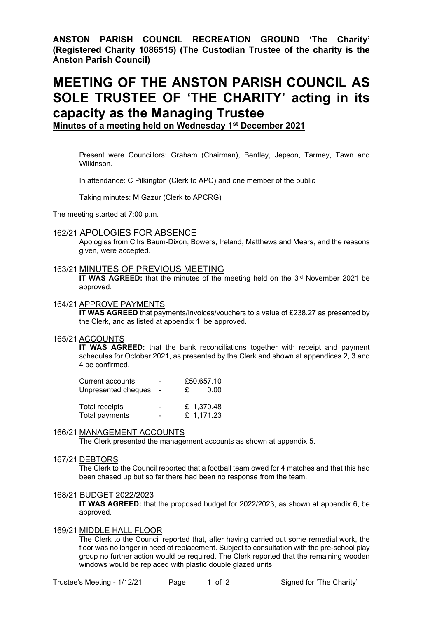**ANSTON PARISH COUNCIL RECREATION GROUND 'The Charity' (Registered Charity 1086515) (The Custodian Trustee of the charity is the Anston Parish Council)**

# **MEETING OF THE ANSTON PARISH COUNCIL AS SOLE TRUSTEE OF 'THE CHARITY' acting in its capacity as the Managing Trustee**

**Minutes of a meeting held on Wednesday 1 st December 2021**

Present were Councillors: Graham (Chairman), Bentley, Jepson, Tarmey, Tawn and Wilkinson.

In attendance: C Pilkington (Clerk to APC) and one member of the public

Taking minutes: M Gazur (Clerk to APCRG)

The meeting started at 7:00 p.m.

#### 162/21 APOLOGIES FOR ABSENCE

Apologies from Cllrs Baum-Dixon, Bowers, Ireland, Matthews and Mears, and the reasons given, were accepted.

## 163/21 MINUTES OF PREVIOUS MEETING

**IT WAS AGREED:** that the minutes of the meeting held on the 3<sup>rd</sup> November 2021 be approved.

#### 164/21 APPROVE PAYMENTS

**IT WAS AGREED** that payments/invoices/vouchers to a value of £238.27 as presented by the Clerk, and as listed at appendix 1, be approved.

#### 165/21 ACCOUNTS

**IT WAS AGREED:** that the bank reconciliations together with receipt and payment schedules for October 2021, as presented by the Clerk and shown at appendices 2, 3 and 4 be confirmed.

| Current accounts    | - | £50,657.10 |
|---------------------|---|------------|
| Unpresented cheques |   | 0.00<br>£. |
| Total receipts      | ۰ | £ 1,370.48 |
| Total payments      | - | £ 1,171.23 |

## 166/21 MANAGEMENT ACCOUNTS

The Clerk presented the management accounts as shown at appendix 5.

#### 167/21 DEBTORS

The Clerk to the Council reported that a football team owed for 4 matches and that this had been chased up but so far there had been no response from the team.

#### 168/21 BUDGET 2022/2023

**IT WAS AGREED:** that the proposed budget for 2022/2023, as shown at appendix 6, be approved.

## 169/21 MIDDLE HALL FLOOR

The Clerk to the Council reported that, after having carried out some remedial work, the floor was no longer in need of replacement. Subject to consultation with the pre-school play group no further action would be required. The Clerk reported that the remaining wooden windows would be replaced with plastic double glazed units.

Trustee's Meeting - 1/12/21 Page 1 of 2 Signed for 'The Charity'